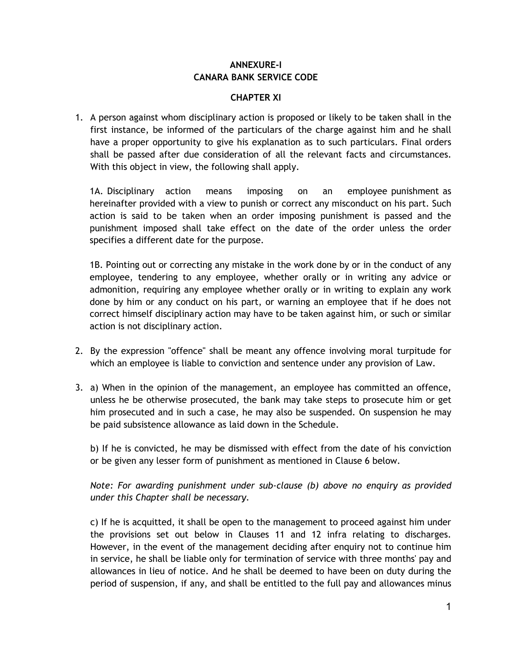# **ANNEXURE-I CANARA BANK SERVICE CODE**

#### **CHAPTER XI**

1. A person against whom disciplinary action is proposed or likely to be taken shall in the first instance, be informed of the particulars of the charge against him and he shall have a proper opportunity to give his explanation as to such particulars. Final orders shall be passed after due consideration of all the relevant facts and circumstances. With this object in view, the following shall apply.

1A. Disciplinary action means imposing on an employee punishment as hereinafter provided with a view to punish or correct any misconduct on his part. Such action is said to be taken when an order imposing punishment is passed and the punishment imposed shall take effect on the date of the order unless the order specifies a different date for the purpose.

1B. Pointing out or correcting any mistake in the work done by or in the conduct of any employee, tendering to any employee, whether orally or in writing any advice or admonition, requiring any employee whether orally or in writing to explain any work done by him or any conduct on his part, or warning an employee that if he does not correct himself disciplinary action may have to be taken against him, or such or similar action is not disciplinary action.

- 2. By the expression "offence" shall be meant any offence involving moral turpitude for which an employee is liable to conviction and sentence under any provision of Law.
- 3. a) When in the opinion of the management, an employee has committed an offence, unless he be otherwise prosecuted, the bank may take steps to prosecute him or get him prosecuted and in such a case, he may also be suspended. On suspension he may be paid subsistence allowance as laid down in the Schedule.

b) If he is convicted, he may be dismissed with effect from the date of his conviction or be given any lesser form of punishment as mentioned in Clause 6 below.

*Note: For awarding punishment under sub-clause (b) above no enquiry as provided under this Chapter shall be necessary.*

c) If he is acquitted, it shall be open to the management to proceed against him under the provisions set out below in Clauses 11 and 12 infra relating to discharges. However, in the event of the management deciding after enquiry not to continue him in service, he shall be liable only for termination of service with three months' pay and allowances in lieu of notice. And he shall be deemed to have been on duty during the period of suspension, if any, and shall be entitled to the full pay and allowances minus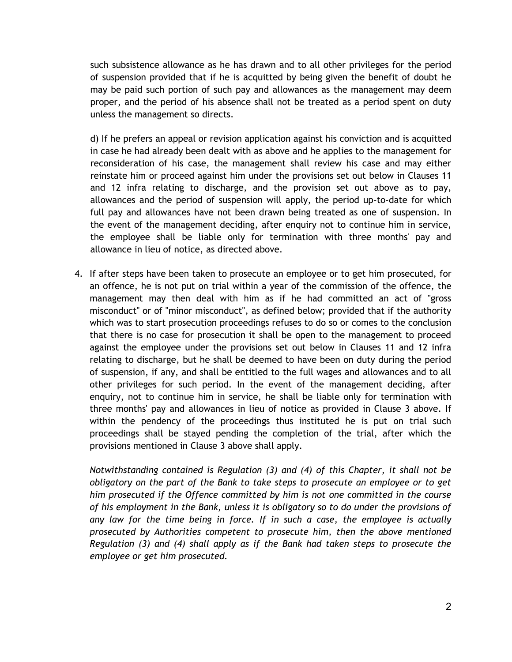such subsistence allowance as he has drawn and to all other privileges for the period of suspension provided that if he is acquitted by being given the benefit of doubt he may be paid such portion of such pay and allowances as the management may deem proper, and the period of his absence shall not be treated as a period spent on duty unless the management so directs.

d) If he prefers an appeal or revision application against his conviction and is acquitted in case he had already been dealt with as above and he applies to the management for reconsideration of his case, the management shall review his case and may either reinstate him or proceed against him under the provisions set out below in Clauses 11 and 12 infra relating to discharge, and the provision set out above as to pay, allowances and the period of suspension will apply, the period up-to-date for which full pay and allowances have not been drawn being treated as one of suspension. In the event of the management deciding, after enquiry not to continue him in service, the employee shall be liable only for termination with three months' pay and allowance in lieu of notice, as directed above.

4. If after steps have been taken to prosecute an employee or to get him prosecuted, for an offence, he is not put on trial within a year of the commission of the offence, the management may then deal with him as if he had committed an act of "gross misconduct" or of "minor misconduct", as defined below; provided that if the authority which was to start prosecution proceedings refuses to do so or comes to the conclusion that there is no case for prosecution it shall be open to the management to proceed against the employee under the provisions set out below in Clauses 11 and 12 infra relating to discharge, but he shall be deemed to have been on duty during the period of suspension, if any, and shall be entitled to the full wages and allowances and to all other privileges for such period. In the event of the management deciding, after enquiry, not to continue him in service, he shall be liable only for termination with three months' pay and allowances in lieu of notice as provided in Clause 3 above. If within the pendency of the proceedings thus instituted he is put on trial such proceedings shall be stayed pending the completion of the trial, after which the provisions mentioned in Clause 3 above shall apply.

*Notwithstanding contained is Regulation (3) and (4) of this Chapter, it shall not be obligatory on the part of the Bank to take steps to prosecute an employee or to get him prosecuted if the Offence committed by him is not one committed in the course of his employment in the Bank, unless it is obligatory so to do under the provisions of any law for the time being in force. If in such a case, the employee is actually prosecuted by Authorities competent to prosecute him, then the above mentioned Regulation (3) and (4) shall apply as if the Bank had taken steps to prosecute the employee or get him prosecuted.*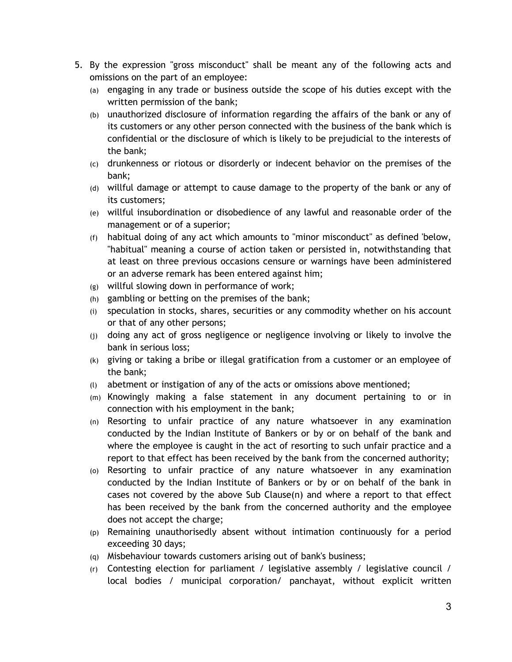- 5. By the expression "gross misconduct" shall be meant any of the following acts and omissions on the part of an employee:
	- (a) engaging in any trade or business outside the scope of his duties except with the written permission of the bank;
	- (b) unauthorized disclosure of information regarding the affairs of the bank or any of its customers or any other person connected with the business of the bank which is confidential or the disclosure of which is likely to be prejudicial to the interests of the bank;
	- (c) drunkenness or riotous or disorderly or indecent behavior on the premises of the bank;
	- (d) willful damage or attempt to cause damage to the property of the bank or any of its customers;
	- (e) willful insubordination or disobedience of any lawful and reasonable order of the management or of a superior;
	- (f) habitual doing of any act which amounts to "minor misconduct" as defined 'below, "habitual" meaning a course of action taken or persisted in, notwithstanding that at least on three previous occasions censure or warnings have been administered or an adverse remark has been entered against him;
	- (g) willful slowing down in performance of work;
	- (h) gambling or betting on the premises of the bank;
	- (i) speculation in stocks, shares, securities or any commodity whether on his account or that of any other persons;
	- (j) doing any act of gross negligence or negligence involving or likely to involve the bank in serious loss;
	- (k) giving or taking a bribe or illegal gratification from a customer or an employee of the bank;
	- (l) abetment or instigation of any of the acts or omissions above mentioned;
	- (m) Knowingly making a false statement in any document pertaining to or in connection with his employment in the bank;
	- (n) Resorting to unfair practice of any nature whatsoever in any examination conducted by the Indian Institute of Bankers or by or on behalf of the bank and where the employee is caught in the act of resorting to such unfair practice and a report to that effect has been received by the bank from the concerned authority;
	- (o) Resorting to unfair practice of any nature whatsoever in any examination conducted by the Indian Institute of Bankers or by or on behalf of the bank in cases not covered by the above Sub Clause(n) and where a report to that effect has been received by the bank from the concerned authority and the employee does not accept the charge;
	- (p) Remaining unauthorisedly absent without intimation continuously for a period exceeding 30 days;
	- (q) Misbehaviour towards customers arising out of bank's business;
	- $(r)$  Contesting election for parliament / legislative assembly / legislative council / local bodies / municipal corporation/ panchayat, without explicit written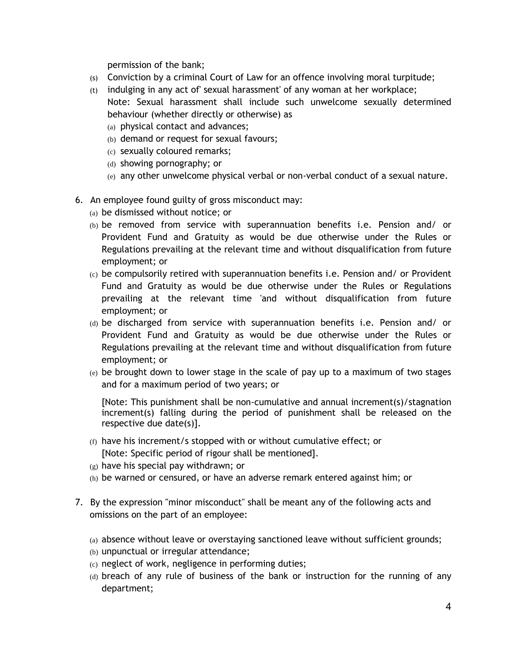permission of the bank;

- (s) Conviction by a criminal Court of Law for an offence involving moral turpitude;
- (t) indulging in any act of' sexual harassment' of any woman at her workplace; Note: Sexual harassment shall include such unwelcome sexually determined behaviour (whether directly or otherwise) as
	- (a) physical contact and advances;
	- (b) demand or request for sexual favours;
	- (c) sexually coloured remarks;
	- (d) showing pornography; or
	- (e) any other unwelcome physical verbal or non-verbal conduct of a sexual nature.
- 6. An employee found guilty of gross misconduct may:
	- (a) be dismissed without notice; or
	- (b) be removed from service with superannuation benefits i.e. Pension and/ or Provident Fund and Gratuity as would be due otherwise under the Rules or Regulations prevailing at the relevant time and without disqualification from future employment; or
	- (c) be compulsorily retired with superannuation benefits i.e. Pension and/ or Provident Fund and Gratuity as would be due otherwise under the Rules or Regulations prevailing at the relevant time 'and without disqualification from future employment; or
	- (d) be discharged from service with superannuation benefits i.e. Pension and/ or Provident Fund and Gratuity as would be due otherwise under the Rules or Regulations prevailing at the relevant time and without disqualification from future employment; or
	- (e) be brought down to lower stage in the scale of pay up to a maximum of two stages and for a maximum period of two years; or

[Note: This punishment shall be non-cumulative and annual increment(s)/stagnation increment(s) falling during the period of punishment shall be released on the respective due date(s)].

- (f) have his increment/s stopped with or without cumulative effect; or [Note: Specific period of rigour shall be mentioned].
- $(g)$  have his special pay withdrawn; or
- (h) be warned or censured, or have an adverse remark entered against him; or
- 7. By the expression "minor misconduct" shall be meant any of the following acts and omissions on the part of an employee:
	- (a) absence without leave or overstaying sanctioned leave without sufficient grounds;
	- (b) unpunctual or irregular attendance;
	- (c) neglect of work, negligence in performing duties;
	- (d) breach of any rule of business of the bank or instruction for the running of any department;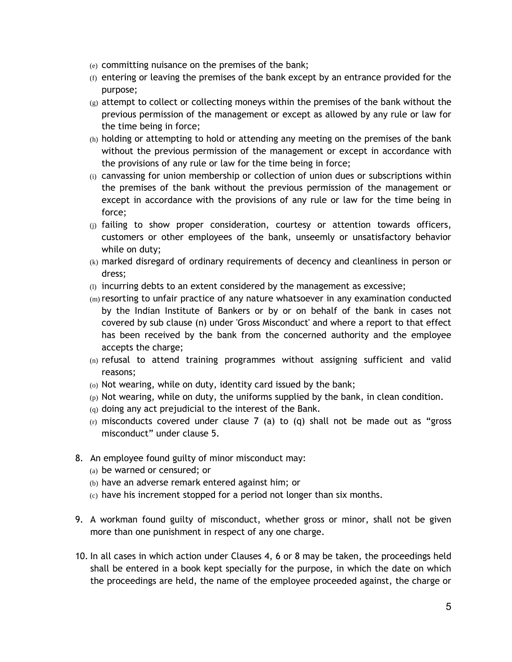- (e) committing nuisance on the premises of the bank;
- (f) entering or leaving the premises of the bank except by an entrance provided for the purpose;
- $(g)$  attempt to collect or collecting moneys within the premises of the bank without the previous permission of the management or except as allowed by any rule or law for the time being in force;
- (h) holding or attempting to hold or attending any meeting on the premises of the bank without the previous permission of the management or except in accordance with the provisions of any rule or law for the time being in force;
- (i) canvassing for union membership or collection of union dues or subscriptions within the premises of the bank without the previous permission of the management or except in accordance with the provisions of any rule or law for the time being in force;
- (j) failing to show proper consideration, courtesy or attention towards officers, customers or other employees of the bank, unseemly or unsatisfactory behavior while on duty;
- (k) marked disregard of ordinary requirements of decency and cleanliness in person or dress;
- (l) incurring debts to an extent considered by the management as excessive;
- (m)resorting to unfair practice of any nature whatsoever in any examination conducted by the Indian Institute of Bankers or by or on behalf of the bank in cases not covered by sub clause (n) under 'Gross Misconduct' and where a report to that effect has been received by the bank from the concerned authority and the employee accepts the charge;
- (n) refusal to attend training programmes without assigning sufficient and valid reasons;
- (o) Not wearing, while on duty, identity card issued by the bank;
- $(p)$  Not wearing, while on duty, the uniforms supplied by the bank, in clean condition.
- (q) doing any act prejudicial to the interest of the Bank.
- $(r)$  misconducts covered under clause 7 (a) to (q) shall not be made out as "gross misconduct" under clause 5.
- 8. An employee found guilty of minor misconduct may:
	- (a) be warned or censured; or
	- (b) have an adverse remark entered against him; or
	- (c) have his increment stopped for a period not longer than six months.
- 9. A workman found guilty of misconduct, whether gross or minor, shall not be given more than one punishment in respect of any one charge.
- 10. In all cases in which action under Clauses 4, 6 or 8 may be taken, the proceedings held shall be entered in a book kept specially for the purpose, in which the date on which the proceedings are held, the name of the employee proceeded against, the charge or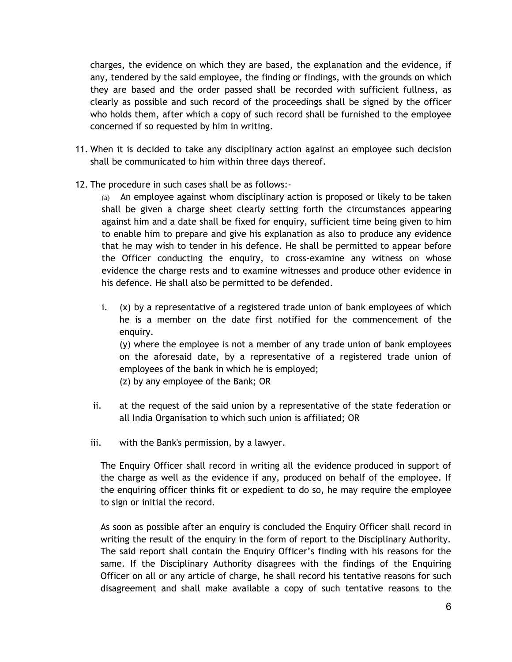charges, the evidence on which they are based, the explanation and the evidence, if any, tendered by the said employee, the finding or findings, with the grounds on which they are based and the order passed shall be recorded with sufficient fullness, as clearly as possible and such record of the proceedings shall be signed by the officer who holds them, after which a copy of such record shall be furnished to the employee concerned if so requested by him in writing.

- 11. When it is decided to take any disciplinary action against an employee such decision shall be communicated to him within three days thereof.
- 12. The procedure in such cases shall be as follows:-

(a) An employee against whom disciplinary action is proposed or likely to be taken shall be given a charge sheet clearly setting forth the circumstances appearing against him and a date shall be fixed for enquiry, sufficient time being given to him to enable him to prepare and give his explanation as also to produce any evidence that he may wish to tender in his defence. He shall be permitted to appear before the Officer conducting the enquiry, to cross-examine any witness on whose evidence the charge rests and to examine witnesses and produce other evidence in his defence. He shall also be permitted to be defended.

i. (x) by a representative of a registered trade union of bank employees of which he is a member on the date first notified for the commencement of the enquiry. (y) where the employee is not a member of any trade union of bank employees on the aforesaid date, by a representative of a registered trade union of

employees of the bank in which he is employed;

(z) by any employee of the Bank; OR

- ii. at the request of the said union by a representative of the state federation or all India Organisation to which such union is affiliated; OR
- iii. with the Bank's permission, by a lawyer.

The Enquiry Officer shall record in writing all the evidence produced in support of the charge as well as the evidence if any, produced on behalf of the employee. If the enquiring officer thinks fit or expedient to do so, he may require the employee to sign or initial the record.

As soon as possible after an enquiry is concluded the Enquiry Officer shall record in writing the result of the enquiry in the form of report to the Disciplinary Authority. The said report shall contain the Enquiry Officer's finding with his reasons for the same. If the Disciplinary Authority disagrees with the findings of the Enquiring Officer on all or any article of charge, he shall record his tentative reasons for such disagreement and shall make available a copy of such tentative reasons to the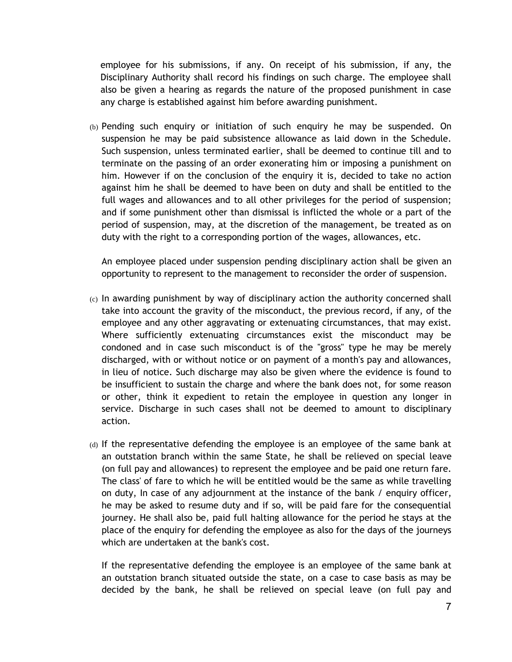employee for his submissions, if any. On receipt of his submission, if any, the Disciplinary Authority shall record his findings on such charge. The employee shall also be given a hearing as regards the nature of the proposed punishment in case any charge is established against him before awarding punishment.

(b) Pending such enquiry or initiation of such enquiry he may be suspended. On suspension he may be paid subsistence allowance as laid down in the Schedule. Such suspension, unless terminated earlier, shall be deemed to continue till and to terminate on the passing of an order exonerating him or imposing a punishment on him. However if on the conclusion of the enquiry it is, decided to take no action against him he shall be deemed to have been on duty and shall be entitled to the full wages and allowances and to all other privileges for the period of suspension; and if some punishment other than dismissal is inflicted the whole or a part of the period of suspension, may, at the discretion of the management, be treated as on duty with the right to a corresponding portion of the wages, allowances, etc.

An employee placed under suspension pending disciplinary action shall be given an opportunity to represent to the management to reconsider the order of suspension.

- (c) In awarding punishment by way of disciplinary action the authority concerned shall take into account the gravity of the misconduct, the previous record, if any, of the employee and any other aggravating or extenuating circumstances, that may exist. Where sufficiently extenuating circumstances exist the misconduct may be condoned and in case such misconduct is of the "gross" type he may be merely discharged, with or without notice or on payment of a month's pay and allowances, in lieu of notice. Such discharge may also be given where the evidence is found to be insufficient to sustain the charge and where the bank does not, for some reason or other, think it expedient to retain the employee in question any longer in service. Discharge in such cases shall not be deemed to amount to disciplinary action.
- (d) If the representative defending the employee is an employee of the same bank at an outstation branch within the same State, he shall be relieved on special leave (on full pay and allowances) to represent the employee and be paid one return fare. The class' of fare to which he will be entitled would be the same as while travelling on duty, In case of any adjournment at the instance of the bank / enquiry officer, he may be asked to resume duty and if so, will be paid fare for the consequential journey. He shall also be, paid full halting allowance for the period he stays at the place of the enquiry for defending the employee as also for the days of the journeys which are undertaken at the bank's cost.

If the representative defending the employee is an employee of the same bank at an outstation branch situated outside the state, on a case to case basis as may be decided by the bank, he shall be relieved on special leave (on full pay and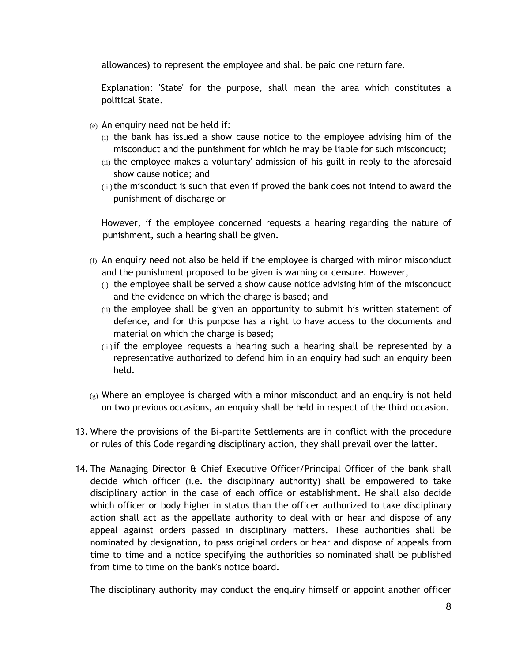allowances) to represent the employee and shall be paid one return fare.

Explanation: 'State' for the purpose, shall mean the area which constitutes a political State.

- (e) An enquiry need not be held if:
	- (i) the bank has issued a show cause notice to the employee advising him of the misconduct and the punishment for which he may be liable for such misconduct;
	- (ii) the employee makes a voluntary' admission of his guilt in reply to the aforesaid show cause notice; and
	- (iii)the misconduct is such that even if proved the bank does not intend to award the punishment of discharge or

However, if the employee concerned requests a hearing regarding the nature of punishment, such a hearing shall be given.

- $(f)$  An enquiry need not also be held if the employee is charged with minor misconduct and the punishment proposed to be given is warning or censure. However,
	- (i) the employee shall be served a show cause notice advising him of the misconduct and the evidence on which the charge is based; and
	- (ii) the employee shall be given an opportunity to submit his written statement of defence, and for this purpose has a right to have access to the documents and material on which the charge is based;
	- (iii)if the employee requests a hearing such a hearing shall be represented by a representative authorized to defend him in an enquiry had such an enquiry been held.
- $(g)$  Where an employee is charged with a minor misconduct and an enquiry is not held on two previous occasions, an enquiry shall be held in respect of the third occasion.
- 13. Where the provisions of the Bi-partite Settlements are in conflict with the procedure or rules of this Code regarding disciplinary action, they shall prevail over the latter.
- 14. The Managing Director & Chief Executive Officer/Principal Officer of the bank shall decide which officer (i.e. the disciplinary authority) shall be empowered to take disciplinary action in the case of each office or establishment. He shall also decide which officer or body higher in status than the officer authorized to take disciplinary action shall act as the appellate authority to deal with or hear and dispose of any appeal against orders passed in disciplinary matters. These authorities shall be nominated by designation, to pass original orders or hear and dispose of appeals from time to time and a notice specifying the authorities so nominated shall be published from time to time on the bank's notice board.

The disciplinary authority may conduct the enquiry himself or appoint another officer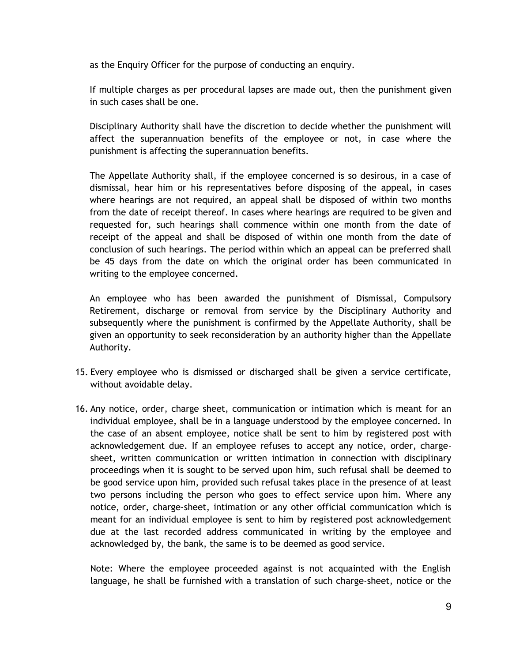as the Enquiry Officer for the purpose of conducting an enquiry.

If multiple charges as per procedural lapses are made out, then the punishment given in such cases shall be one.

Disciplinary Authority shall have the discretion to decide whether the punishment will affect the superannuation benefits of the employee or not, in case where the punishment is affecting the superannuation benefits.

The Appellate Authority shall, if the employee concerned is so desirous, in a case of dismissal, hear him or his representatives before disposing of the appeal, in cases where hearings are not required, an appeal shall be disposed of within two months from the date of receipt thereof. In cases where hearings are required to be given and requested for, such hearings shall commence within one month from the date of receipt of the appeal and shall be disposed of within one month from the date of conclusion of such hearings. The period within which an appeal can be preferred shall be 45 days from the date on which the original order has been communicated in writing to the employee concerned.

An employee who has been awarded the punishment of Dismissal, Compulsory Retirement, discharge or removal from service by the Disciplinary Authority and subsequently where the punishment is confirmed by the Appellate Authority, shall be given an opportunity to seek reconsideration by an authority higher than the Appellate Authority.

- 15. Every employee who is dismissed or discharged shall be given a service certificate, without avoidable delay.
- 16. Any notice, order, charge sheet, communication or intimation which is meant for an individual employee, shall be in a language understood by the employee concerned. In the case of an absent employee, notice shall be sent to him by registered post with acknowledgement due. If an employee refuses to accept any notice, order, chargesheet, written communication or written intimation in connection with disciplinary proceedings when it is sought to be served upon him, such refusal shall be deemed to be good service upon him, provided such refusal takes place in the presence of at least two persons including the person who goes to effect service upon him. Where any notice, order, charge-sheet, intimation or any other official communication which is meant for an individual employee is sent to him by registered post acknowledgement due at the last recorded address communicated in writing by the employee and acknowledged by, the bank, the same is to be deemed as good service.

Note: Where the employee proceeded against is not acquainted with the English language, he shall be furnished with a translation of such charge-sheet, notice or the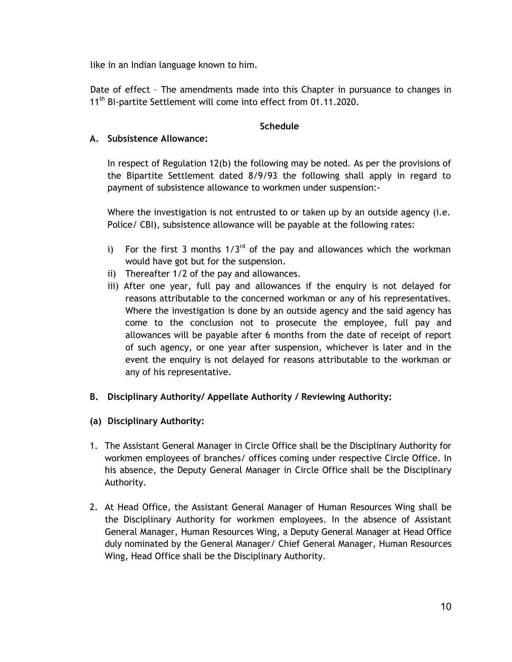like in an Indian language known to him.

Date of effect – The amendments made into this Chapter in pursuance to changes in 11<sup>th</sup> Bi-partite Settlement will come into effect from 01.11.2020.

#### **Schedule**

## **A. Subsistence Allowance:**

In respect of Regulation 12(b) the following may be noted. As per the provisions of the Bipartite Settlement dated 8/9/93 the following shall apply in regard to payment of subsistence allowance to workmen under suspension:-

Where the investigation is not entrusted to or taken up by an outside agency (i.e. Police/ CBI), subsistence allowance will be payable at the following rates:

- i) For the first 3 months  $1/3^{rd}$  of the pay and allowances which the workman would have got but for the suspension.
- ii) Thereafter 1/2 of the pay and allowances.
- iii) After one year, full pay and allowances if the enquiry is not delayed for reasons attributable to the concerned workman or any of his representatives. Where the investigation is done by an outside agency and the said agency has come to the conclusion not to prosecute the employee, full pay and allowances will be payable after 6 months from the date of receipt of report of such agency, or one year after suspension, whichever is later and in the event the enquiry is not delayed for reasons attributable to the workman or any of his representative.

## **B. Disciplinary Authority/ Appellate Authority / Reviewing Authority:**

## **(a) Disciplinary Authority:**

- 1. The Assistant General Manager in Circle Office shall be the Disciplinary Authority for workmen employees of branches/ offices coming under respective Circle Office. In his absence, the Deputy General Manager in Circle Office shall be the Disciplinary Authority.
- 2. At Head Office, the Assistant General Manager of Human Resources Wing shall be the Disciplinary Authority for workmen employees. In the absence of Assistant General Manager, Human Resources Wing, a Deputy General Manager at Head Office duly nominated by the General Manager/ Chief General Manager, Human Resources Wing, Head Office shall be the Disciplinary Authority.